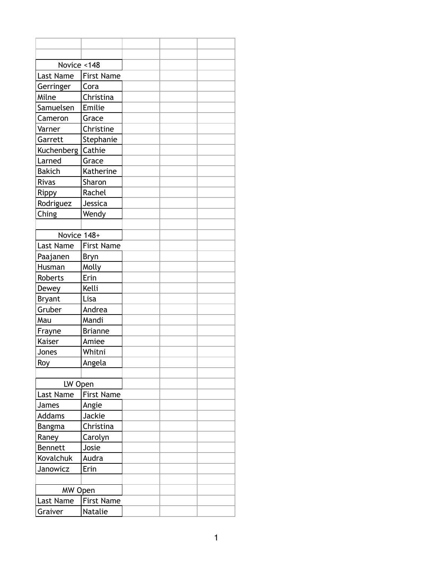| Novice <148   |                   |  |  |
|---------------|-------------------|--|--|
| Last Name     | <b>First Name</b> |  |  |
| Gerringer     | Cora              |  |  |
| Milne         | Christina         |  |  |
| Samuelsen     | Emilie            |  |  |
| Cameron       | Grace             |  |  |
| Varner        | Christine         |  |  |
| Garrett       | Stephanie         |  |  |
| Kuchenberg    | Cathie            |  |  |
| Larned        | Grace             |  |  |
| <b>Bakich</b> | Katherine         |  |  |
| Rivas         | Sharon            |  |  |
| Rippy         | Rachel            |  |  |
| Rodriguez     | Jessica           |  |  |
| Ching         | Wendy             |  |  |
|               |                   |  |  |
| Novice 148+   |                   |  |  |
| Last Name     | <b>First Name</b> |  |  |
| Paajanen      | <b>Bryn</b>       |  |  |
| Husman        | Molly             |  |  |
| Roberts       | Erin              |  |  |
| Dewey         | Kelli             |  |  |
| <b>Bryant</b> | Lisa              |  |  |
| Gruber        | Andrea            |  |  |
| Mau           | Mandi             |  |  |
| Frayne        | <b>Brianne</b>    |  |  |
| Kaiser        | Amiee             |  |  |
| Jones         | Whitni            |  |  |
| Roy           | Angela            |  |  |
|               |                   |  |  |
| LW Open       |                   |  |  |
| Last Name     | <b>First Name</b> |  |  |
| James         | Angie             |  |  |
| <b>Addams</b> | Jackie            |  |  |
| Bangma        | Christina         |  |  |
| Raney         | Carolyn           |  |  |
| Bennett       | Josie             |  |  |
| Kovalchuk     | Audra             |  |  |
| Janowicz      | Erin              |  |  |
|               |                   |  |  |
| MW Open       |                   |  |  |
| Last Name     | <b>First Name</b> |  |  |
| Graiver       | Natalie           |  |  |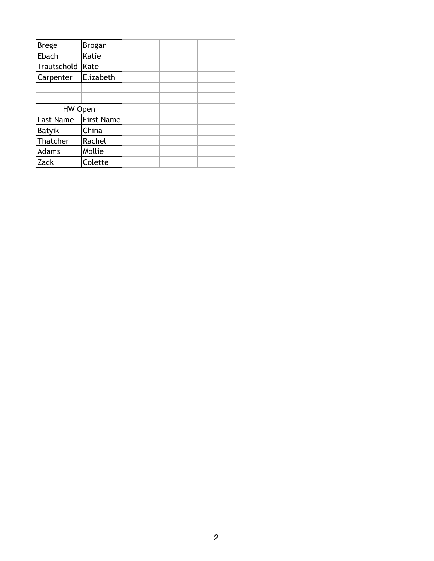| <b>Brege</b> | <b>Brogan</b>     |  |  |
|--------------|-------------------|--|--|
| Ebach        | Katie             |  |  |
| Trautschold  | Kate              |  |  |
| Carpenter    | Elizabeth         |  |  |
|              |                   |  |  |
|              |                   |  |  |
| HW Open      |                   |  |  |
| Last Name    | <b>First Name</b> |  |  |
| Batyik       | China             |  |  |
| Thatcher     | Rachel            |  |  |
| Adams        | Mollie            |  |  |
| Zack         | Colette           |  |  |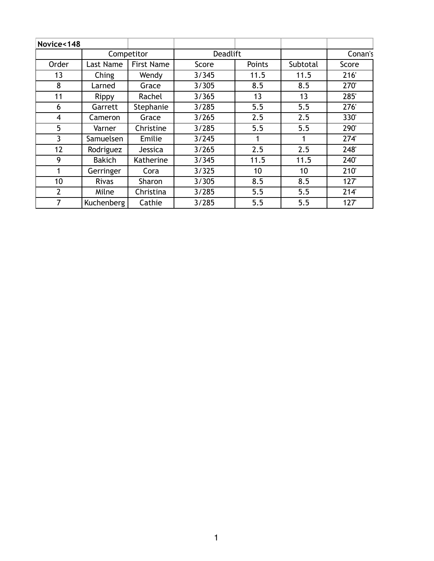| Novice<148     |               |                   |                 |               |          |         |
|----------------|---------------|-------------------|-----------------|---------------|----------|---------|
|                |               | Competitor        | <b>Deadlift</b> |               |          | Conan's |
| Order          | Last Name     | <b>First Name</b> | Score           | <b>Points</b> | Subtotal | Score   |
| 13             | Ching         | Wendy             | 3/345           | 11.5          | 11.5     | 216'    |
| 8              | Larned        | Grace             | 3/305           | 8.5           | 8.5      | 270     |
| 11             | Rippy         | Rachel            | 3/365           | 13            | 13       | 285'    |
| 6              | Garrett       | Stephanie         | 3/285           | 5.5           | 5.5      | 276'    |
| 4              | Cameron       | Grace             | 3/265           | 2.5           | 2.5      | 330'    |
| 5              | Varner        | Christine         | 3/285           | 5.5           | 5.5      | 290'    |
| 3              | Samuelsen     | Emilie            | 3/245           | 1             |          | 274     |
| 12             | Rodriguez     | Jessica           | 3/265           | 2.5           | 2.5      | 248'    |
| 9              | <b>Bakich</b> | Katherine         | 3/345           | 11.5          | 11.5     | 240'    |
| 1              | Gerringer     | Cora              | 3/325           | 10            | 10       | 210'    |
| 10             | <b>Rivas</b>  | Sharon            | 3/305           | 8.5           | 8.5      | 127'    |
| $\overline{2}$ | Milne         | Christina         | 3/285           | 5.5           | 5.5      | 214'    |
| 7              | Kuchenberg    | Cathie            | 3/285           | 5.5           | 5.5      | 127'    |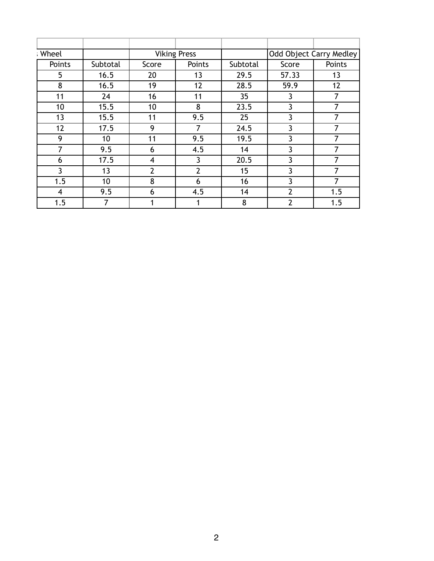| ; Wheel |          |                | <b>Viking Press</b> |                 |                | Odd Object Carry Medley |
|---------|----------|----------------|---------------------|-----------------|----------------|-------------------------|
| Points  | Subtotal | Score          | Points              | Subtotal        | Score          | Points                  |
| 5       | 16.5     | 20             | 13                  | 29.5            | 57.33          | 13                      |
| 8       | 16.5     | 19             | 12                  | 28.5            | 59.9           | 12                      |
| 11      | 24       | 16             | 11                  | 35 <sub>2</sub> | 3              | 7                       |
| 10      | 15.5     | 10             | 8                   | 23.5            | 3              | $\overline{7}$          |
| 13      | 15.5     | 11             | 9.5                 | 25              | 3              | 7                       |
| 12      | 17.5     | 9              |                     | 24.5            | 3              |                         |
| 9       | 10       | 11             | 9.5                 | 19.5            | 3              | $\overline{7}$          |
| 7       | 9.5      | 6              | 4.5                 | 14              | 3              | 7                       |
| 6       | 17.5     | 4              | 3                   | 20.5            | 3              |                         |
| 3       | 13       | $\overline{2}$ | $\overline{2}$      | 15              | 3              | 7                       |
| 1.5     | 10       | 8              | 6                   | 16              | 3              | 7                       |
| 4       | 9.5      | 6              | 4.5                 | 14              | $\overline{2}$ | 1.5                     |
| 1.5     | 7        | 1              |                     | 8               | $\overline{2}$ | 1.5                     |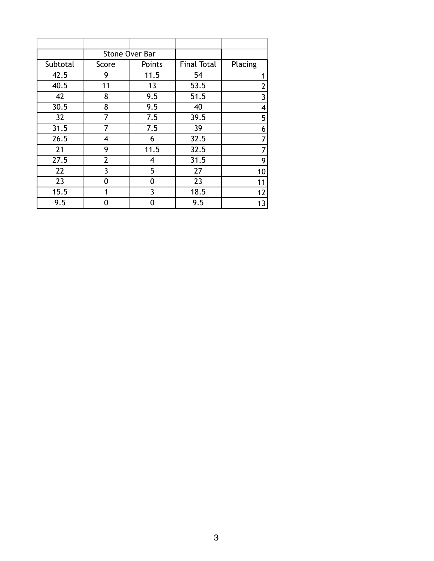|          |                | Stone Over Bar |                    |                |
|----------|----------------|----------------|--------------------|----------------|
| Subtotal | Score          | Points         | <b>Final Total</b> | Placing        |
| 42.5     | 9              | 11.5           | 54                 | 1              |
| 40.5     | 11             | 13             | 53.5               | $\overline{2}$ |
| 42       | 8              | 9.5            | 51.5               | 3              |
| 30.5     | 8              | 9.5            | 40                 | 4              |
| 32       | 7              | 7.5            | 39.5               | 5              |
| 31.5     | 7              | 7.5            | 39                 | 6              |
| 26.5     | 4              | 6              | 32.5               | 7              |
| 21       | 9              | 11.5           | 32.5               | 7              |
| 27.5     | $\overline{2}$ | 4              | 31.5               | 9              |
| 22       | 3              | 5              | 27                 | 10             |
| 23       | 0              | 0              | 23                 | 11             |
| 15.5     | 1              | 3              | 18.5               | 12             |
| 9.5      | 0              | 0              | 9.5                | 13             |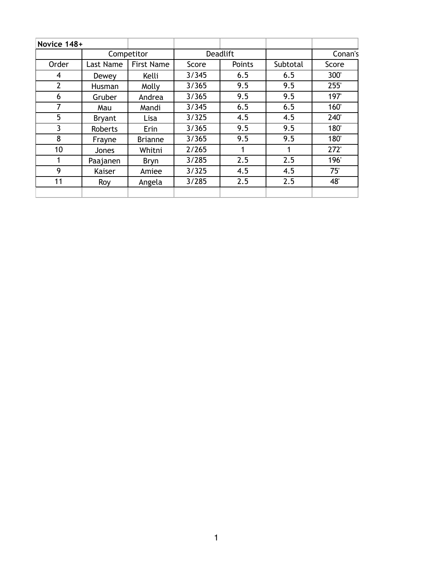| Novice 148+    |               |                               |       |        |          |       |
|----------------|---------------|-------------------------------|-------|--------|----------|-------|
|                |               | Competitor<br><b>Deadlift</b> |       |        | Conan's  |       |
| Order          | Last Name     | <b>First Name</b>             | Score | Points | Subtotal | Score |
| 4              | Dewey         | Kelli                         | 3/345 | 6.5    | 6.5      | 300'  |
| $\overline{2}$ | Husman        | Molly                         | 3/365 | 9.5    | 9.5      | 255'  |
| 6              | Gruber        | Andrea                        | 3/365 | 9.5    | 9.5      | 197   |
| 7              | Mau           | Mandi                         | 3/345 | 6.5    | 6.5      | 160'  |
| 5              | <b>Bryant</b> | Lisa                          | 3/325 | 4.5    | 4.5      | 240'  |
| 3              | Roberts       | Erin                          | 3/365 | 9.5    | 9.5      | 180'  |
| 8              | Frayne        | <b>Brianne</b>                | 3/365 | 9.5    | 9.5      | 180'  |
| 10             | Jones         | Whitni                        | 2/265 |        |          | 272'  |
|                | Paajanen      | Bryn                          | 3/285 | 2.5    | 2.5      | 196'  |
| 9              | Kaiser        | Amiee                         | 3/325 | 4.5    | 4.5      | 75'   |
| 11             | Roy           | Angela                        | 3/285 | 2.5    | 2.5      | 48'   |
|                |               |                               |       |        |          |       |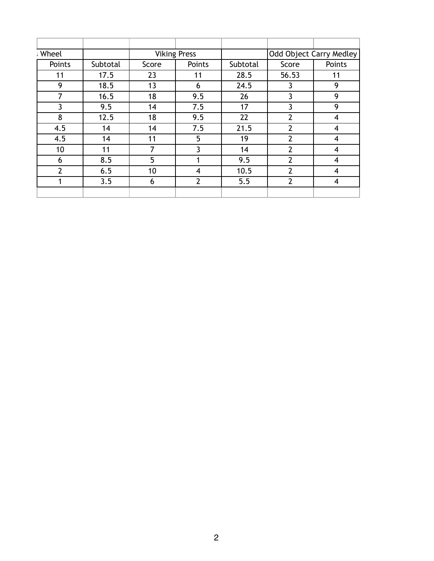| ; Wheel |          |       | <b>Viking Press</b> |          |                | Odd Object Carry Medley |
|---------|----------|-------|---------------------|----------|----------------|-------------------------|
| Points  | Subtotal | Score | Points              | Subtotal | Score          | Points                  |
| 11      | 17.5     | 23    | 11                  | 28.5     | 56.53          | 11                      |
| 9       | 18.5     | 13    | 6                   | 24.5     | 3              | 9                       |
| 7       | 16.5     | 18    | 9.5                 | 26       | 3              | 9                       |
| 3       | 9.5      | 14    | 7.5                 | 17       | 3              | 9                       |
| 8       | 12.5     | 18    | 9.5                 | 22       | $\overline{2}$ | $\overline{4}$          |
| 4.5     | 14       | 14    | 7.5                 | 21.5     | $\overline{2}$ | $\overline{4}$          |
| 4.5     | 14       | 11    | 5                   | 19       | $\overline{2}$ | 4                       |
| 10      | 11       | 7     | 3                   | 14       | $\overline{2}$ | 4                       |
| 6       | 8.5      | 5     |                     | 9.5      | $\overline{2}$ | $\overline{4}$          |
| 2       | 6.5      | 10    | 4                   | 10.5     | $\overline{2}$ | 4                       |
|         | 3.5      | 6     | $\overline{2}$      | 5.5      | $\overline{2}$ | 4                       |
|         |          |       |                     |          |                |                         |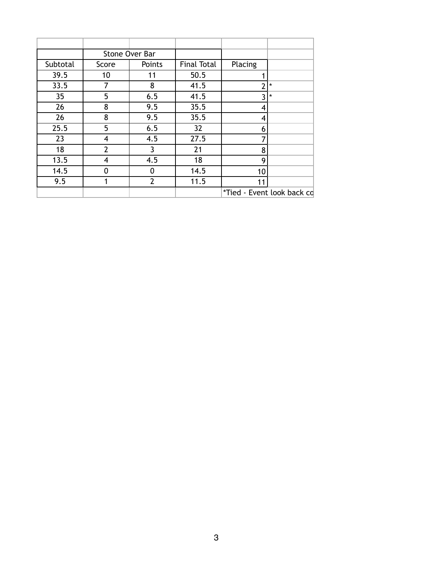|                 |                | Stone Over Bar |                    |               |                            |
|-----------------|----------------|----------------|--------------------|---------------|----------------------------|
| Subtotal        | Score          | Points         | <b>Final Total</b> | Placing       |                            |
| 39.5            | 10             | 11             | 50.5               |               |                            |
| 33.5            | 7              | 8              | 41.5               | $\mathcal{P}$ | $\star$                    |
| 35 <sub>1</sub> | 5              | 6.5            | 41.5               | 3             | $\star$                    |
| 26              | 8              | 9.5            | 35.5               | 4             |                            |
| 26              | 8              | 9.5            | 35.5               | 4             |                            |
| 25.5            | 5              | 6.5            | 32                 | 6             |                            |
| 23              | 4              | 4.5            | 27.5               |               |                            |
| 18              | $\overline{2}$ | 3              | 21                 | 8             |                            |
| 13.5            | 4              | 4.5            | 18                 | 9             |                            |
| 14.5            | 0              | $\mathbf 0$    | 14.5               | 10            |                            |
| 9.5             |                | $\overline{2}$ | 11.5               | 11            |                            |
|                 |                |                |                    |               | *Tied - Event look back cd |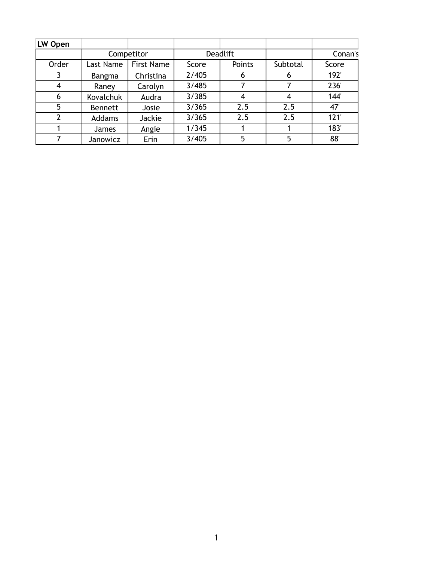| LW Open |                  |                   |       |                 |          |         |
|---------|------------------|-------------------|-------|-----------------|----------|---------|
|         | Competitor       |                   |       | <b>Deadlift</b> |          | Conan's |
| Order   | Last Name        | <b>First Name</b> | Score | Points          | Subtotal | Score   |
|         | Bangma           | Christina         | 2/405 | O               | b        | 192'    |
| 4       | Raney            | Carolyn           | 3/485 |                 |          | 236     |
| 6       | <b>Kovalchuk</b> | Audra             | 3/385 | 4               | 4        | 144     |
| 5       | <b>Bennett</b>   | Josie             | 3/365 | 2.5             | 2.5      | 47      |
| 2       | <b>Addams</b>    | Jackie            | 3/365 | 2.5             | 2.5      | 121'    |
|         | <b>James</b>     | Angie             | 1/345 |                 |          | 183     |
|         | Janowicz         | Erin              | 3/405 | 5               | 5        | 88'     |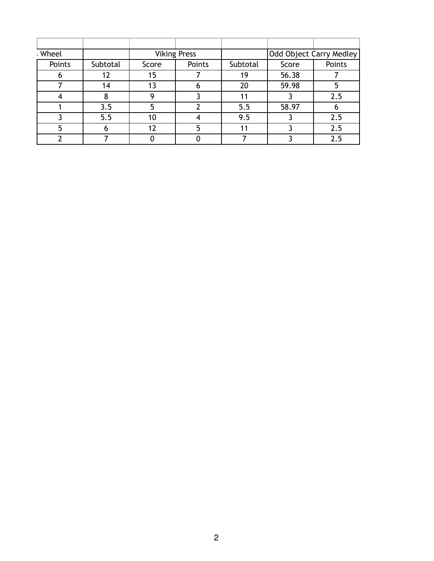| : Wheel |          |       | <b>Viking Press</b> |          |       | Odd Object Carry Medley |
|---------|----------|-------|---------------------|----------|-------|-------------------------|
| Points  | Subtotal | Score | Points              | Subtotal | Score | Points                  |
|         | 12       | 15    |                     | 19       | 56.38 |                         |
|         | 14       | 13    | n                   | 20       | 59.98 |                         |
|         |          |       |                     |          |       | 2.5                     |
|         | 3.5      |       |                     | 5.5      | 58.97 |                         |
|         | 5.5      | 10    |                     | 9.5      |       | 2.5                     |
|         | n        | 12    | 5                   | 11       |       | 2.5                     |
|         |          |       |                     |          |       | 2.5                     |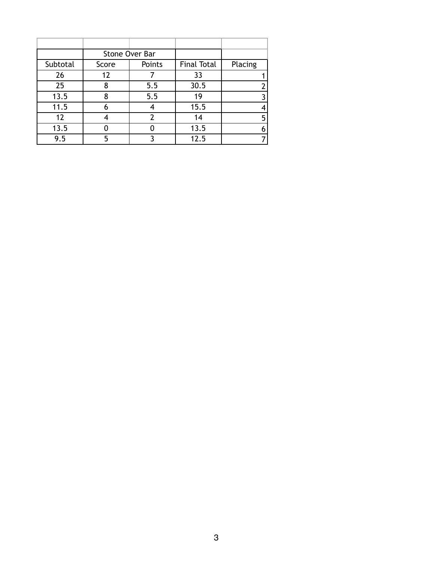|          |       | Stone Over Bar |                    |         |
|----------|-------|----------------|--------------------|---------|
| Subtotal | Score | Points         | <b>Final Total</b> | Placing |
| 26       | 12    |                | 33                 |         |
| 25       | 8     | 5.5            | 30.5               |         |
| 13.5     | 8     | 5.5            | 19                 |         |
| 11.5     |       |                | 15.5               |         |
| 12       |       | $\mathcal{P}$  | 14                 |         |
| 13.5     |       |                | 13.5               |         |
| 9.5      | 5     |                | 12.5               |         |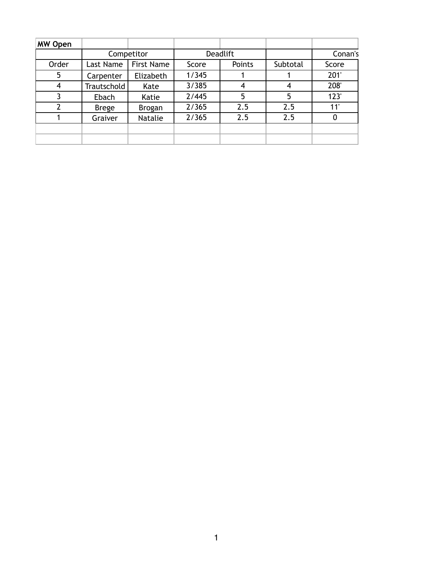| <b>MW Open</b> |              |                   |       |                 |          |         |
|----------------|--------------|-------------------|-------|-----------------|----------|---------|
|                |              | Competitor        |       | <b>Deadlift</b> |          | Conan's |
| Order          | Last Name    | <b>First Name</b> | Score | Points          | Subtotal | Score   |
| 5              | Carpenter    | Elizabeth         | 1/345 |                 |          | 201'    |
| 4              | Trautschold  | Kate              | 3/385 | 4               | 4        | 208     |
| 3              | Ebach        | Katie             | 2/445 | 5               | 5        | 123'    |
| $\mathcal{P}$  | <b>Brege</b> | <b>Brogan</b>     | 2/365 | 2.5             | 2.5      | 11'     |
|                | Graiver      | Natalie           | 2/365 | 2.5             | 2.5      | O       |
|                |              |                   |       |                 |          |         |
|                |              |                   |       |                 |          |         |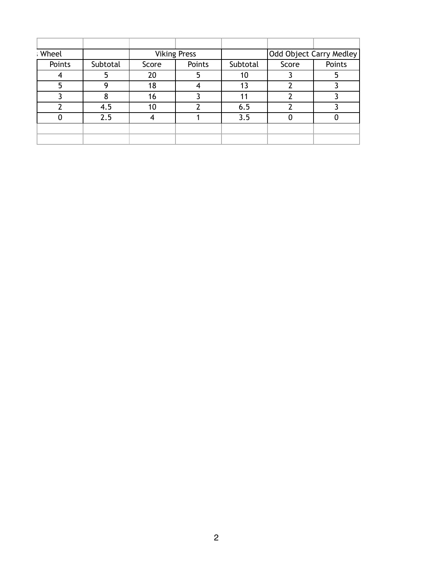| : Wheel |        |          |       | <b>Viking Press</b> |          | Odd Object Carry Medley |        |
|---------|--------|----------|-------|---------------------|----------|-------------------------|--------|
|         | Points | Subtotal | Score | Points              | Subtotal | Score                   | Points |
|         |        |          | 20    |                     | 10       |                         |        |
|         | 5      | Q        | 18    |                     | 13       |                         |        |
|         |        |          | 16    |                     |          |                         |        |
|         |        | 4.5      | 10    |                     | 6.5      |                         |        |
|         |        | 2.5      |       |                     | 3.5      |                         |        |
|         |        |          |       |                     |          |                         |        |
|         |        |          |       |                     |          |                         |        |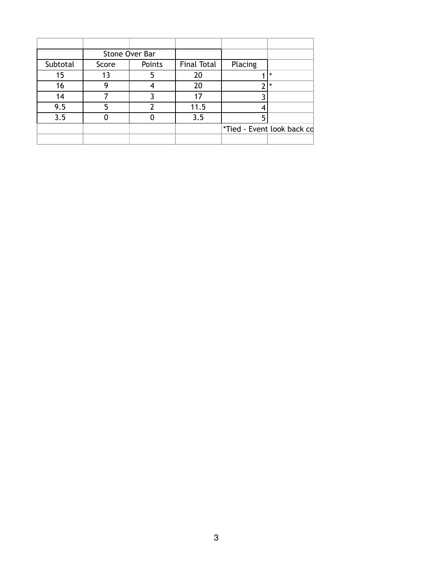|          |       | Stone Over Bar |                    |                            |         |
|----------|-------|----------------|--------------------|----------------------------|---------|
| Subtotal | Score | Points         | <b>Final Total</b> | Placing                    |         |
| 15       | 13    | 5              | 20                 |                            | $\star$ |
| 16       |       |                | 20                 | ົ                          | $\star$ |
| 14       |       |                | 17                 |                            |         |
| 9.5      | 5     |                | 11.5               |                            |         |
| 3.5      |       |                | 3.5                |                            |         |
|          |       |                |                    | *Tied - Event look back cd |         |
|          |       |                |                    |                            |         |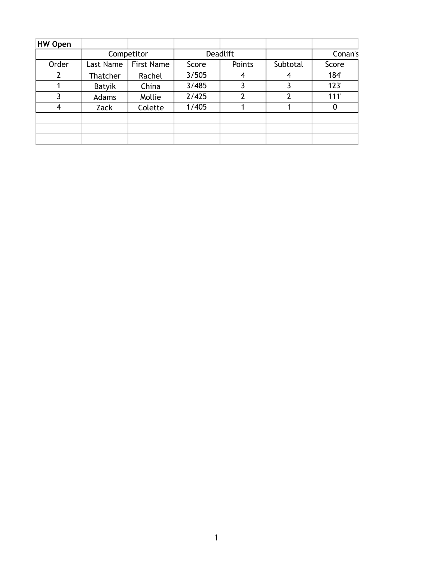| <b>HW Open</b> |            |                   |                 |               |          |         |
|----------------|------------|-------------------|-----------------|---------------|----------|---------|
|                | Competitor |                   | <b>Deadlift</b> |               |          | Conan's |
| Order          | Last Name  | <b>First Name</b> | Score           | Points        | Subtotal | Score   |
|                | Thatcher   | Rachel            | 3/505           | 4             | 4        | 184     |
|                | Batyik     | China             | 3/485           |               |          | 123'    |
|                | Adams      | Mollie            | 2/425           | $\mathcal{P}$ | 2        | 111'    |
| 4              | Zack       | Colette           | 1/405           |               |          | O       |
|                |            |                   |                 |               |          |         |
|                |            |                   |                 |               |          |         |
|                |            |                   |                 |               |          |         |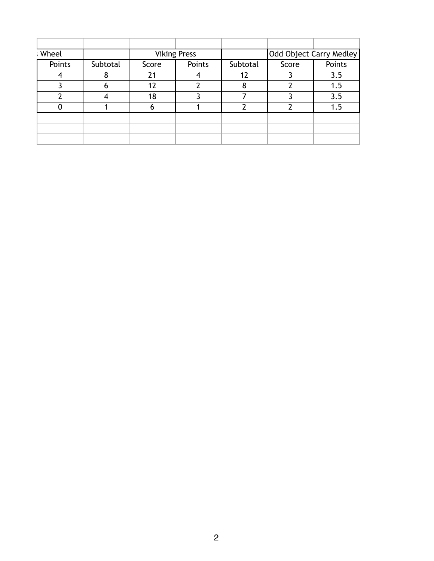| : Wheel |          |       | <b>Viking Press</b> |          | Odd Object Carry Medley |        |
|---------|----------|-------|---------------------|----------|-------------------------|--------|
| Points  | Subtotal | Score | Points              | Subtotal | Score                   | Points |
|         |          | 21    |                     |          |                         | 3.5    |
|         | o        | 12    |                     |          |                         | 1.5    |
|         |          | 18    |                     |          |                         | 3.5    |
|         |          |       |                     |          |                         | 1.5    |
|         |          |       |                     |          |                         |        |
|         |          |       |                     |          |                         |        |
|         |          |       |                     |          |                         |        |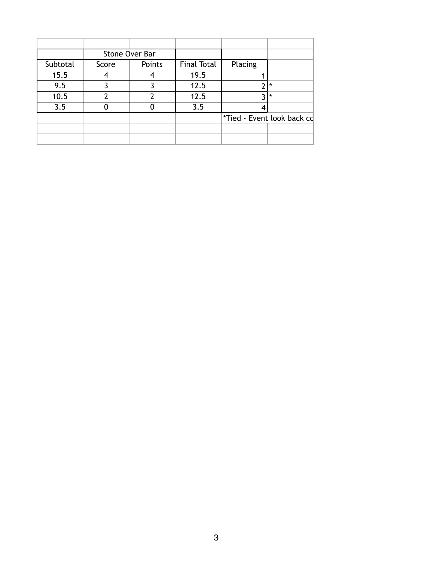|          |       | Stone Over Bar |                    |                            |         |
|----------|-------|----------------|--------------------|----------------------------|---------|
| Subtotal | Score | Points         | <b>Final Total</b> | Placing                    |         |
| 15.5     |       | 4              | 19.5               |                            |         |
| 9.5      |       |                | 12.5               | ኅ                          | $\star$ |
| 10.5     |       |                | 12.5               | ำ                          | $\star$ |
| 3.5      |       |                | 3.5                |                            |         |
|          |       |                |                    | *Tied - Event look back cd |         |
|          |       |                |                    |                            |         |
|          |       |                |                    |                            |         |